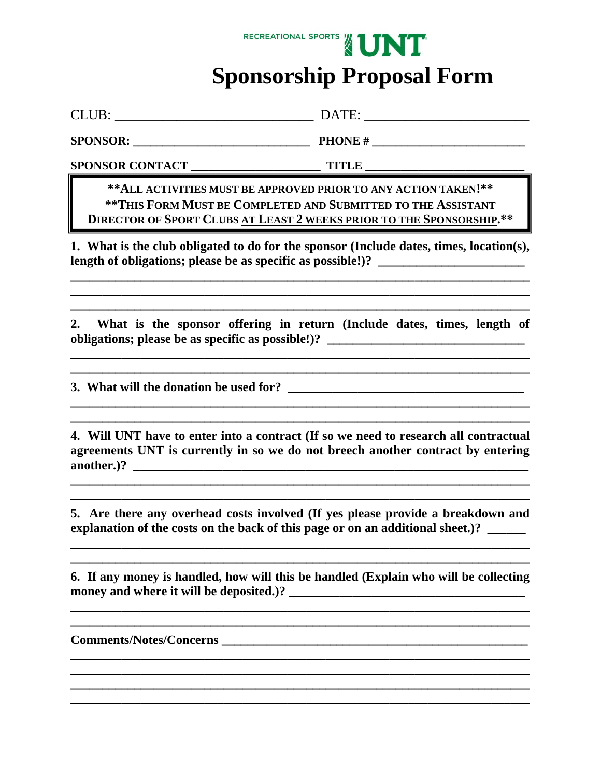## RECREATIONAL SPORTS / UNT  **Sponsorship Proposal Form**

CLUB: \_\_\_\_\_\_\_\_\_\_\_\_\_\_\_\_\_\_\_\_\_\_\_\_\_\_\_\_\_ DATE: \_\_\_\_\_\_\_\_\_\_\_\_\_\_\_\_\_\_\_\_\_\_\_\_

 $SPONSOR:$  **PHONE #** 

**SPONSOR CONTACT \_\_\_\_\_\_\_\_\_\_\_\_\_\_\_\_\_\_\_\_\_\_ TITLE \_\_\_\_\_\_\_\_\_\_\_\_\_\_\_\_\_\_\_\_\_\_\_\_\_\_\_** 

**\*\*ALL ACTIVITIES MUST BE APPROVED PRIOR TO ANY ACTION TAKEN!\*\* \*\*THIS FORM MUST BE COMPLETED AND SUBMITTED TO THE ASSISTANT DIRECTOR OF SPORT CLUBS AT LEAST 2 WEEKS PRIOR TO THE SPONSORSHIP.\*\***

**1. What is the club obligated to do for the sponsor (Include dates, times, location(s),**  length of obligations; please be as specific as possible!)? \_\_\_\_\_\_\_\_\_\_\_\_\_\_\_\_\_\_\_\_\_

**\_\_\_\_\_\_\_\_\_\_\_\_\_\_\_\_\_\_\_\_\_\_\_\_\_\_\_\_\_\_\_\_\_\_\_\_\_\_\_\_\_\_\_\_\_\_\_\_\_\_\_\_\_\_\_\_\_\_\_\_\_\_\_\_\_\_\_\_\_\_\_\_ \_\_\_\_\_\_\_\_\_\_\_\_\_\_\_\_\_\_\_\_\_\_\_\_\_\_\_\_\_\_\_\_\_\_\_\_\_\_\_\_\_\_\_\_\_\_\_\_\_\_\_\_\_\_\_\_\_\_\_\_\_\_\_\_\_\_\_\_\_\_\_\_ \_\_\_\_\_\_\_\_\_\_\_\_\_\_\_\_\_\_\_\_\_\_\_\_\_\_\_\_\_\_\_\_\_\_\_\_\_\_\_\_\_\_\_\_\_\_\_\_\_\_\_\_\_\_\_\_\_\_\_\_\_\_\_\_\_\_\_\_\_\_\_\_** 

**2. What is the sponsor offering in return (Include dates, times, length of obligations; please be as specific as possible!)? \_\_\_\_\_\_\_\_\_\_\_\_\_\_\_\_\_\_\_\_\_\_\_\_\_\_\_\_\_\_\_** 

**\_\_\_\_\_\_\_\_\_\_\_\_\_\_\_\_\_\_\_\_\_\_\_\_\_\_\_\_\_\_\_\_\_\_\_\_\_\_\_\_\_\_\_\_\_\_\_\_\_\_\_\_\_\_\_\_\_\_\_\_\_\_\_\_\_\_\_\_\_\_\_\_ \_\_\_\_\_\_\_\_\_\_\_\_\_\_\_\_\_\_\_\_\_\_\_\_\_\_\_\_\_\_\_\_\_\_\_\_\_\_\_\_\_\_\_\_\_\_\_\_\_\_\_\_\_\_\_\_\_\_\_\_\_\_\_\_\_\_\_\_\_\_\_\_** 

**\_\_\_\_\_\_\_\_\_\_\_\_\_\_\_\_\_\_\_\_\_\_\_\_\_\_\_\_\_\_\_\_\_\_\_\_\_\_\_\_\_\_\_\_\_\_\_\_\_\_\_\_\_\_\_\_\_\_\_\_\_\_\_\_\_\_\_\_\_\_\_\_ \_\_\_\_\_\_\_\_\_\_\_\_\_\_\_\_\_\_\_\_\_\_\_\_\_\_\_\_\_\_\_\_\_\_\_\_\_\_\_\_\_\_\_\_\_\_\_\_\_\_\_\_\_\_\_\_\_\_\_\_\_\_\_\_\_\_\_\_\_\_\_\_** 

**3. What will the donation be used for?** *Conserversion be used for***?** 

**4. Will UNT have to enter into a contract (If so we need to research all contractual agreements UNT is currently in so we do not breech another contract by entering another.)? \_\_\_\_\_\_\_\_\_\_\_\_\_\_\_\_\_\_\_\_\_\_\_\_\_\_\_\_\_\_\_\_\_\_\_\_\_\_\_\_\_\_\_\_\_\_\_\_\_\_\_\_\_\_\_\_\_\_\_\_\_\_** 

**\_\_\_\_\_\_\_\_\_\_\_\_\_\_\_\_\_\_\_\_\_\_\_\_\_\_\_\_\_\_\_\_\_\_\_\_\_\_\_\_\_\_\_\_\_\_\_\_\_\_\_\_\_\_\_\_\_\_\_\_\_\_\_\_\_\_\_\_\_\_\_\_ \_\_\_\_\_\_\_\_\_\_\_\_\_\_\_\_\_\_\_\_\_\_\_\_\_\_\_\_\_\_\_\_\_\_\_\_\_\_\_\_\_\_\_\_\_\_\_\_\_\_\_\_\_\_\_\_\_\_\_\_\_\_\_\_\_\_\_\_\_\_\_\_** 

**5. Are there any overhead costs involved (If yes please provide a breakdown and explanation of the costs on the back of this page or on an additional sheet.)? \_\_\_\_\_\_** 

**\_\_\_\_\_\_\_\_\_\_\_\_\_\_\_\_\_\_\_\_\_\_\_\_\_\_\_\_\_\_\_\_\_\_\_\_\_\_\_\_\_\_\_\_\_\_\_\_\_\_\_\_\_\_\_\_\_\_\_\_\_\_\_\_\_\_\_\_\_\_\_\_ \_\_\_\_\_\_\_\_\_\_\_\_\_\_\_\_\_\_\_\_\_\_\_\_\_\_\_\_\_\_\_\_\_\_\_\_\_\_\_\_\_\_\_\_\_\_\_\_\_\_\_\_\_\_\_\_\_\_\_\_\_\_\_\_\_\_\_\_\_\_\_\_** 

**6. If any money is handled, how will this be handled (Explain who will be collecting money and where it will be deposited.)?** 

**\_\_\_\_\_\_\_\_\_\_\_\_\_\_\_\_\_\_\_\_\_\_\_\_\_\_\_\_\_\_\_\_\_\_\_\_\_\_\_\_\_\_\_\_\_\_\_\_\_\_\_\_\_\_\_\_\_\_\_\_\_\_\_\_\_\_\_\_\_\_\_\_ \_\_\_\_\_\_\_\_\_\_\_\_\_\_\_\_\_\_\_\_\_\_\_\_\_\_\_\_\_\_\_\_\_\_\_\_\_\_\_\_\_\_\_\_\_\_\_\_\_\_\_\_\_\_\_\_\_\_\_\_\_\_\_\_\_\_\_\_\_\_\_\_** 

**\_\_\_\_\_\_\_\_\_\_\_\_\_\_\_\_\_\_\_\_\_\_\_\_\_\_\_\_\_\_\_\_\_\_\_\_\_\_\_\_\_\_\_\_\_\_\_\_\_\_\_\_\_\_\_\_\_\_\_\_\_\_\_\_\_\_\_\_\_\_\_\_ \_\_\_\_\_\_\_\_\_\_\_\_\_\_\_\_\_\_\_\_\_\_\_\_\_\_\_\_\_\_\_\_\_\_\_\_\_\_\_\_\_\_\_\_\_\_\_\_\_\_\_\_\_\_\_\_\_\_\_\_\_\_\_\_\_\_\_\_\_\_\_\_** 

**\_\_\_\_\_\_\_\_\_\_\_\_\_\_\_\_\_\_\_\_\_\_\_\_\_\_\_\_\_\_\_\_\_\_\_\_\_\_\_\_\_\_\_\_\_\_\_\_\_\_\_\_\_\_\_\_\_\_\_\_\_\_\_\_\_\_\_\_\_\_\_\_** 

**Comments/Notes/Concerns \_\_\_\_\_\_\_\_\_\_\_\_\_\_\_\_\_\_\_\_\_\_\_\_\_\_\_\_\_\_\_\_\_\_\_\_\_\_\_\_\_\_\_\_\_\_\_\_**